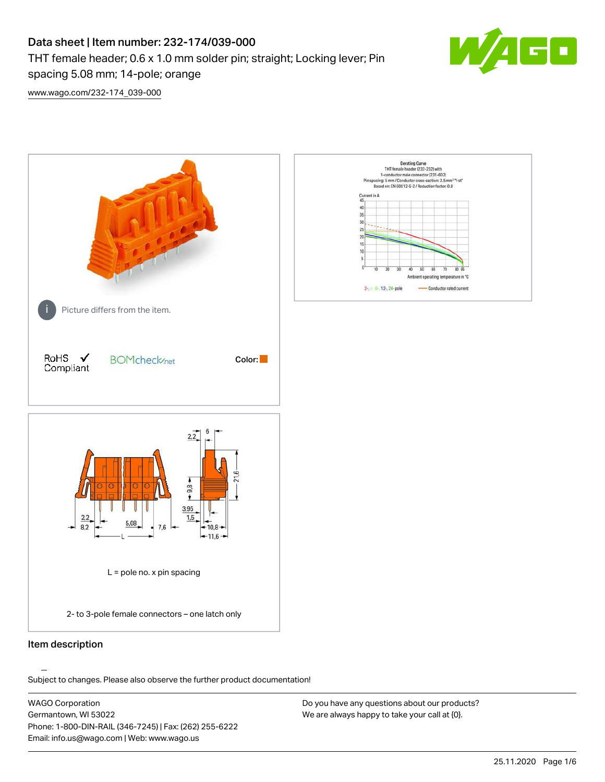## Data sheet | Item number: 232-174/039-000 THT female header; 0.6 x 1.0 mm solder pin; straight; Locking lever; Pin spacing 5.08 mm; 14-pole; orange



[www.wago.com/232-174\\_039-000](http://www.wago.com/232-174_039-000)



## Item description

.<br>Subject to changes. Please also observe the further product documentation!

WAGO Corporation Germantown, WI 53022 Phone: 1-800-DIN-RAIL (346-7245) | Fax: (262) 255-6222 Email: info.us@wago.com | Web: www.wago.us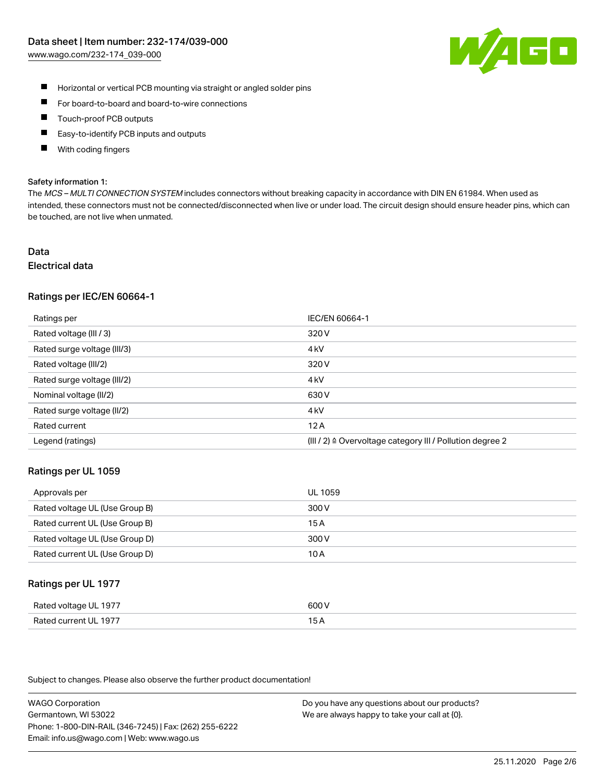

- $\blacksquare$ Horizontal or vertical PCB mounting via straight or angled solder pins
- $\blacksquare$ For board-to-board and board-to-wire connections
- Touch-proof PCB outputs  $\blacksquare$
- П Easy-to-identify PCB inputs and outputs
- П With coding fingers

#### Safety information 1:

The MCS - MULTI CONNECTION SYSTEM includes connectors without breaking capacity in accordance with DIN EN 61984. When used as intended, these connectors must not be connected/disconnected when live or under load. The circuit design should ensure header pins, which can be touched, are not live when unmated.

## Data Electrical data

# Ratings per IEC/EN 60664-1

| Ratings per                 | IEC/EN 60664-1                                                       |
|-----------------------------|----------------------------------------------------------------------|
| Rated voltage (III / 3)     | 320 V                                                                |
| Rated surge voltage (III/3) | 4 <sub>k</sub> V                                                     |
| Rated voltage (III/2)       | 320 V                                                                |
| Rated surge voltage (III/2) | 4 <sub>k</sub> V                                                     |
| Nominal voltage (II/2)      | 630 V                                                                |
| Rated surge voltage (II/2)  | 4 <sub>k</sub> V                                                     |
| Rated current               | 12A                                                                  |
| Legend (ratings)            | (III / 2) $\triangleq$ Overvoltage category III / Pollution degree 2 |

#### Ratings per UL 1059

| Approvals per                  | UL 1059 |
|--------------------------------|---------|
| Rated voltage UL (Use Group B) | 300 V   |
| Rated current UL (Use Group B) | 15 A    |
| Rated voltage UL (Use Group D) | 300 V   |
| Rated current UL (Use Group D) | 10 A    |

#### Ratings per UL 1977

| Rated voltage UL 1977        | ANN N<br>. ור                                    |
|------------------------------|--------------------------------------------------|
| Rated<br>l current I II–1977 | ، ت<br>$\sim$ $\sim$ $\sim$ $\sim$ $\sim$ $\sim$ |

Subject to changes. Please also observe the further product documentation!

WAGO Corporation Germantown, WI 53022 Phone: 1-800-DIN-RAIL (346-7245) | Fax: (262) 255-6222 Email: info.us@wago.com | Web: www.wago.us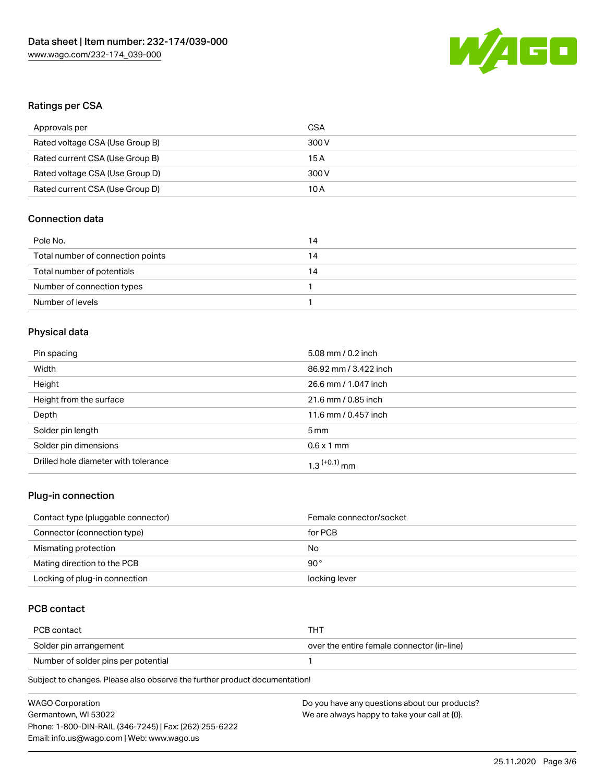

## Ratings per CSA

| Approvals per                   | CSA   |
|---------------------------------|-------|
| Rated voltage CSA (Use Group B) | 300 V |
| Rated current CSA (Use Group B) | 15 A  |
| Rated voltage CSA (Use Group D) | 300 V |
| Rated current CSA (Use Group D) | 10 A  |

## Connection data

| Pole No.                          | 14 |
|-----------------------------------|----|
| Total number of connection points | 14 |
| Total number of potentials        | 14 |
| Number of connection types        |    |
| Number of levels                  |    |

## Physical data

| Pin spacing                          | 5.08 mm / 0.2 inch         |
|--------------------------------------|----------------------------|
| Width                                | 86.92 mm / 3.422 inch      |
| Height                               | 26.6 mm / 1.047 inch       |
| Height from the surface              | 21.6 mm / 0.85 inch        |
| Depth                                | 11.6 mm / 0.457 inch       |
| Solder pin length                    | 5 <sub>mm</sub>            |
| Solder pin dimensions                | $0.6 \times 1$ mm          |
| Drilled hole diameter with tolerance | $1.3$ <sup>(+0.1)</sup> mm |

## Plug-in connection

| Contact type (pluggable connector) | Female connector/socket |
|------------------------------------|-------------------------|
| Connector (connection type)        | for PCB                 |
| Mismating protection               | No                      |
| Mating direction to the PCB        | 90 $^{\circ}$           |
| Locking of plug-in connection      | locking lever           |

## PCB contact

| PCB contact                         | THT                                        |
|-------------------------------------|--------------------------------------------|
| Solder pin arrangement              | over the entire female connector (in-line) |
| Number of solder pins per potential |                                            |

Subject to changes. Please also observe the further product documentation!

| <b>WAGO Corporation</b>                                | Do you have any questions about our products? |
|--------------------------------------------------------|-----------------------------------------------|
| Germantown, WI 53022                                   | We are always happy to take your call at {0}. |
| Phone: 1-800-DIN-RAIL (346-7245)   Fax: (262) 255-6222 |                                               |
| Email: info.us@wago.com   Web: www.wago.us             |                                               |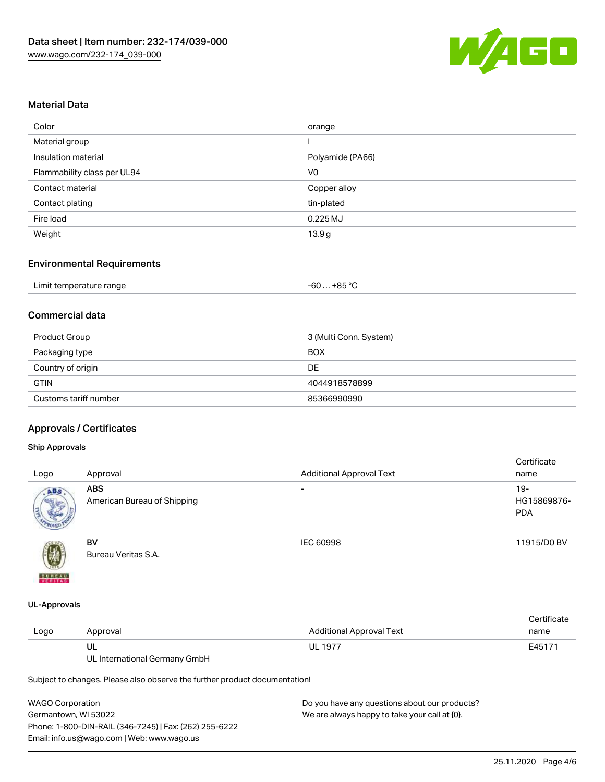

## Material Data

| Color                       | orange            |
|-----------------------------|-------------------|
| Material group              |                   |
| Insulation material         | Polyamide (PA66)  |
| Flammability class per UL94 | V <sub>0</sub>    |
| Contact material            | Copper alloy      |
| Contact plating             | tin-plated        |
| Fire load                   | $0.225$ MJ        |
| Weight                      | 13.9 <sub>g</sub> |

#### Environmental Requirements

| Limit temperature range | $-60+85 °C$ |
|-------------------------|-------------|
|-------------------------|-------------|

## Commercial data

| Product Group         | 3 (Multi Conn. System) |
|-----------------------|------------------------|
| Packaging type        | <b>BOX</b>             |
| Country of origin     | DE                     |
| <b>GTIN</b>           | 4044918578899          |
| Customs tariff number | 85366990990            |

## Approvals / Certificates

## Ship Approvals

| Logo          | Approval                                  | <b>Additional Approval Text</b> | Certificate<br>name                |
|---------------|-------------------------------------------|---------------------------------|------------------------------------|
| ABS           | <b>ABS</b><br>American Bureau of Shipping | $\overline{\phantom{a}}$        | $19-$<br>HG15869876-<br><b>PDA</b> |
| <b>BUREAU</b> | BV<br>Bureau Veritas S.A.                 | IEC 60998                       | 11915/D0 BV                        |

#### UL-Approvals

|      |          |                          | Certificate |
|------|----------|--------------------------|-------------|
| Logo | Approval | Additional Approval Text | name        |
|      | UL       | <b>UL 1977</b>           | E45171      |

UL International Germany GmbH

Subject to changes. Please also observe the further product documentation!

| WAGO Corporation                                       | Do you have any questions about our products? |  |  |  |
|--------------------------------------------------------|-----------------------------------------------|--|--|--|
| Germantown, WI 53022                                   | We are always happy to take your call at {0}. |  |  |  |
| Phone: 1-800-DIN-RAIL (346-7245)   Fax: (262) 255-6222 |                                               |  |  |  |
| Email: info.us@wago.com   Web: www.wago.us             |                                               |  |  |  |
|                                                        |                                               |  |  |  |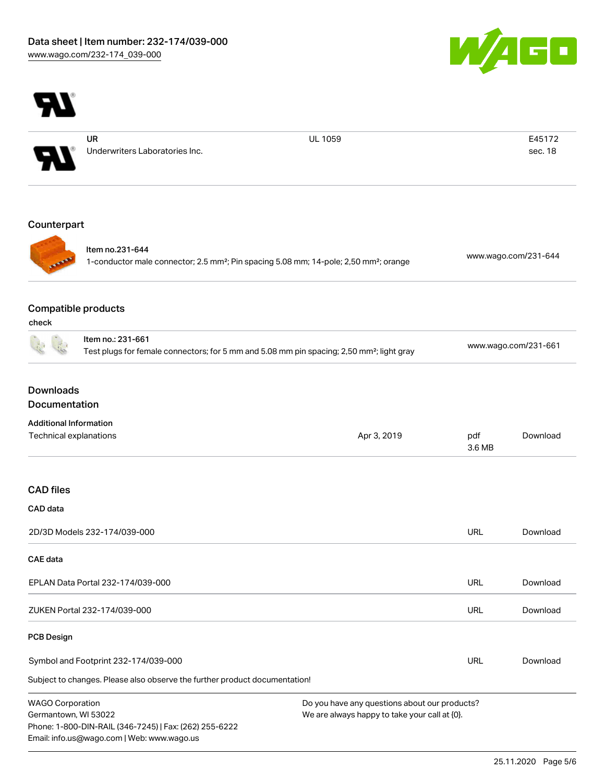



WAGO Corporation Germantown, WI 53022 Phone: 1-800-DIN-RAIL (346-7245) | Fax: (262) 255-6222 Email: info.us@wago.com | Web: www.wago.us